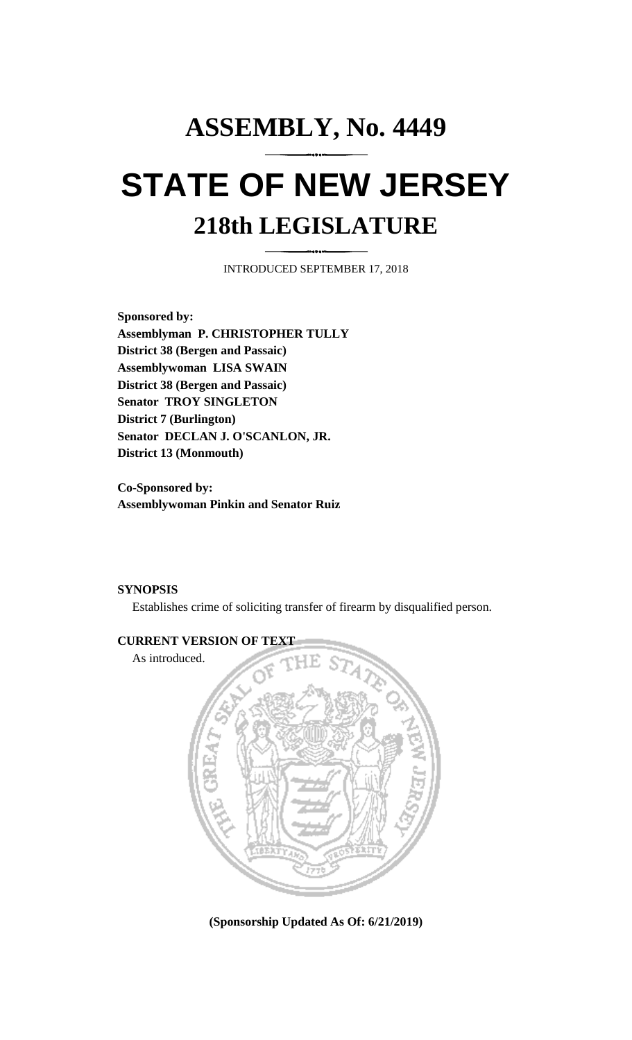## **ASSEMBLY, No. 4449 STATE OF NEW JERSEY 218th LEGISLATURE**

INTRODUCED SEPTEMBER 17, 2018

**Sponsored by: Assemblyman P. CHRISTOPHER TULLY District 38 (Bergen and Passaic) Assemblywoman LISA SWAIN District 38 (Bergen and Passaic) Senator TROY SINGLETON District 7 (Burlington) Senator DECLAN J. O'SCANLON, JR. District 13 (Monmouth)**

**Co-Sponsored by: Assemblywoman Pinkin and Senator Ruiz**

## **SYNOPSIS**

Establishes crime of soliciting transfer of firearm by disqualified person.



**(Sponsorship Updated As Of: 6/21/2019)**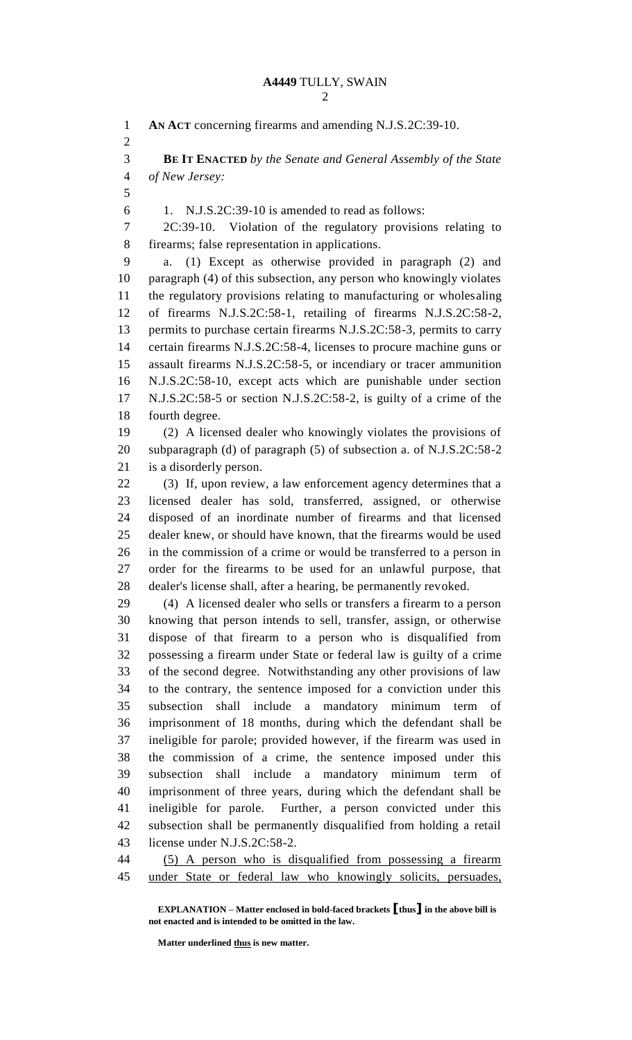**AN ACT** concerning firearms and amending N.J.S.2C:39-10. **BE IT ENACTED** *by the Senate and General Assembly of the State of New Jersey:* 1. N.J.S.2C:39-10 is amended to read as follows: 2C:39-10. Violation of the regulatory provisions relating to firearms; false representation in applications. a. (1) Except as otherwise provided in paragraph (2) and paragraph (4) of this subsection, any person who knowingly violates the regulatory provisions relating to manufacturing or wholesaling of firearms N.J.S.2C:58-1, retailing of firearms N.J.S.2C:58-2, permits to purchase certain firearms N.J.S.2C:58-3, permits to carry certain firearms N.J.S.2C:58-4, licenses to procure machine guns or assault firearms N.J.S.2C:58-5, or incendiary or tracer ammunition N.J.S.2C:58-10, except acts which are punishable under section N.J.S.2C:58-5 or section N.J.S.2C:58-2, is guilty of a crime of the fourth degree. (2) A licensed dealer who knowingly violates the provisions of subparagraph (d) of paragraph (5) of subsection a. of N.J.S.2C:58-2 is a disorderly person. (3) If, upon review, a law enforcement agency determines that a licensed dealer has sold, transferred, assigned, or otherwise disposed of an inordinate number of firearms and that licensed dealer knew, or should have known, that the firearms would be used in the commission of a crime or would be transferred to a person in order for the firearms to be used for an unlawful purpose, that dealer's license shall, after a hearing, be permanently revoked. (4) A licensed dealer who sells or transfers a firearm to a person knowing that person intends to sell, transfer, assign, or otherwise dispose of that firearm to a person who is disqualified from possessing a firearm under State or federal law is guilty of a crime of the second degree. Notwithstanding any other provisions of law to the contrary, the sentence imposed for a conviction under this subsection shall include a mandatory minimum term of imprisonment of 18 months, during which the defendant shall be ineligible for parole; provided however, if the firearm was used in the commission of a crime, the sentence imposed under this subsection shall include a mandatory minimum term of imprisonment of three years, during which the defendant shall be ineligible for parole. Further, a person convicted under this subsection shall be permanently disqualified from holding a retail license under N.J.S.2C:58-2. (5) A person who is disqualified from possessing a firearm

under State or federal law who knowingly solicits, persuades,

**EXPLANATION – Matter enclosed in bold-faced brackets [thus] in the above bill is not enacted and is intended to be omitted in the law.**

**Matter underlined thus is new matter.**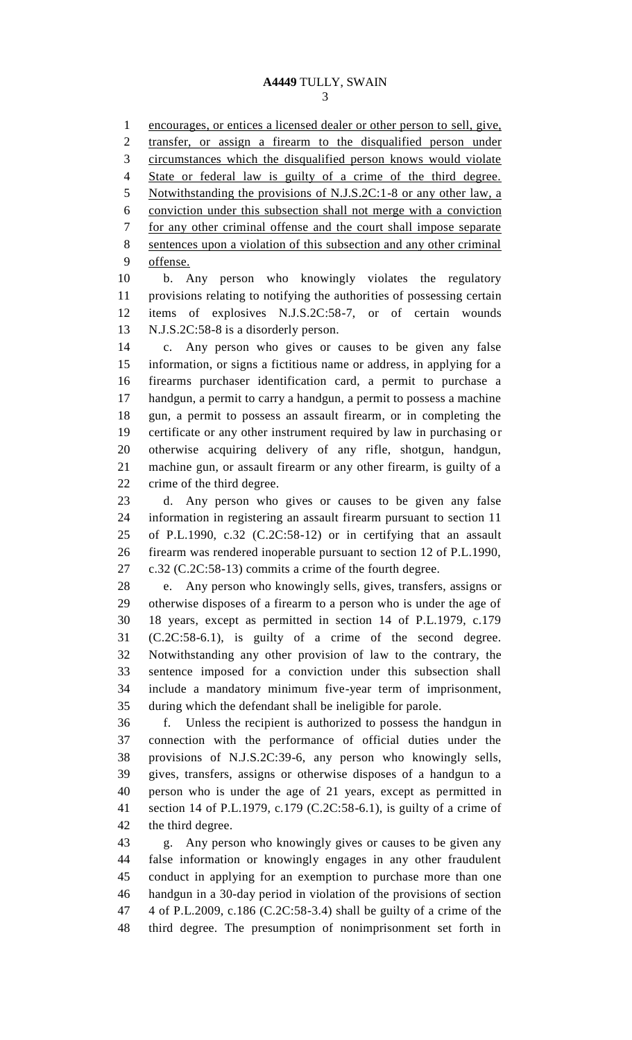encourages, or entices a licensed dealer or other person to sell, give, transfer, or assign a firearm to the disqualified person under circumstances which the disqualified person knows would violate State or federal law is guilty of a crime of the third degree. Notwithstanding the provisions of N.J.S.2C:1-8 or any other law, a conviction under this subsection shall not merge with a conviction for any other criminal offense and the court shall impose separate sentences upon a violation of this subsection and any other criminal offense.

 b. Any person who knowingly violates the regulatory provisions relating to notifying the authorities of possessing certain items of explosives N.J.S.2C:58-7, or of certain wounds N.J.S.2C:58-8 is a disorderly person.

 c. Any person who gives or causes to be given any false information, or signs a fictitious name or address, in applying for a firearms purchaser identification card, a permit to purchase a handgun, a permit to carry a handgun, a permit to possess a machine gun, a permit to possess an assault firearm, or in completing the certificate or any other instrument required by law in purchasing or otherwise acquiring delivery of any rifle, shotgun, handgun, machine gun, or assault firearm or any other firearm, is guilty of a crime of the third degree.

 d. Any person who gives or causes to be given any false information in registering an assault firearm pursuant to section 11 of P.L.1990, c.32 (C.2C:58-12) or in certifying that an assault firearm was rendered inoperable pursuant to section 12 of P.L.1990, c.32 (C.2C:58-13) commits a crime of the fourth degree.

 e. Any person who knowingly sells, gives, transfers, assigns or otherwise disposes of a firearm to a person who is under the age of 18 years, except as permitted in section 14 of P.L.1979, c.179 (C.2C:58-6.1), is guilty of a crime of the second degree. Notwithstanding any other provision of law to the contrary, the sentence imposed for a conviction under this subsection shall include a mandatory minimum five-year term of imprisonment, during which the defendant shall be ineligible for parole.

 f. Unless the recipient is authorized to possess the handgun in connection with the performance of official duties under the provisions of N.J.S.2C:39-6, any person who knowingly sells, gives, transfers, assigns or otherwise disposes of a handgun to a person who is under the age of 21 years, except as permitted in section 14 of P.L.1979, c.179 (C.2C:58-6.1), is guilty of a crime of the third degree.

 g. Any person who knowingly gives or causes to be given any false information or knowingly engages in any other fraudulent conduct in applying for an exemption to purchase more than one handgun in a 30-day period in violation of the provisions of section 4 of P.L.2009, c.186 (C.2C:58-3.4) shall be guilty of a crime of the third degree. The presumption of nonimprisonment set forth in